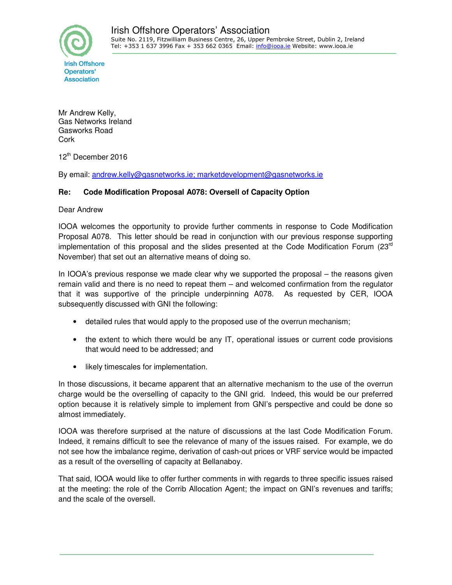Mr Andrew Kelly, Gas Networks Ireland Gasworks Road **Cork** 

12th December 2016

By email: andrew.kelly@gasnetworks.ie; marketdevelopment@gasnetworks.ie

### **Re: Code Modification Proposal A078: Oversell of Capacity Option**

Dear Andrew

IOOA welcomes the opportunity to provide further comments in response to Code Modification Proposal A078. This letter should be read in conjunction with our previous response supporting implementation of this proposal and the slides presented at the Code Modification Forum ( $23<sup>rd</sup>$ November) that set out an alternative means of doing so.

In IOOA's previous response we made clear why we supported the proposal – the reasons given remain valid and there is no need to repeat them – and welcomed confirmation from the regulator that it was supportive of the principle underpinning A078. As requested by CER, IOOA subsequently discussed with GNI the following:

- detailed rules that would apply to the proposed use of the overrun mechanism;
- the extent to which there would be any IT, operational issues or current code provisions that would need to be addressed; and
- likely timescales for implementation.

In those discussions, it became apparent that an alternative mechanism to the use of the overrun charge would be the overselling of capacity to the GNI grid. Indeed, this would be our preferred option because it is relatively simple to implement from GNI's perspective and could be done so almost immediately.

IOOA was therefore surprised at the nature of discussions at the last Code Modification Forum. Indeed, it remains difficult to see the relevance of many of the issues raised. For example, we do not see how the imbalance regime, derivation of cash-out prices or VRF service would be impacted as a result of the overselling of capacity at Bellanaboy.

That said, IOOA would like to offer further comments in with regards to three specific issues raised at the meeting: the role of the Corrib Allocation Agent; the impact on GNI's revenues and tariffs; and the scale of the oversell.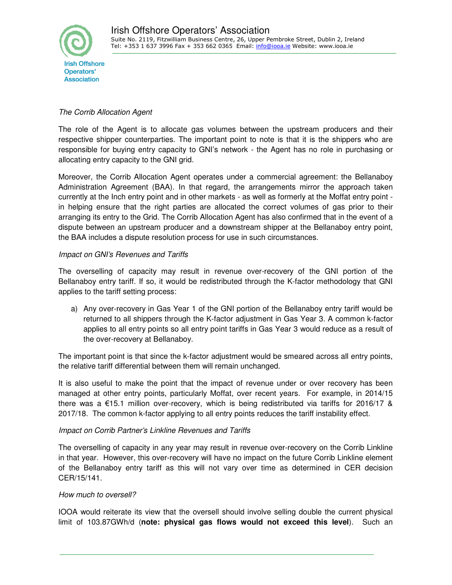

# The Corrib Allocation Agent

The role of the Agent is to allocate gas volumes between the upstream producers and their respective shipper counterparties. The important point to note is that it is the shippers who are responsible for buying entry capacity to GNI's network - the Agent has no role in purchasing or allocating entry capacity to the GNI grid.

Moreover, the Corrib Allocation Agent operates under a commercial agreement: the Bellanaboy Administration Agreement (BAA). In that regard, the arrangements mirror the approach taken currently at the Inch entry point and in other markets - as well as formerly at the Moffat entry point in helping ensure that the right parties are allocated the correct volumes of gas prior to their arranging its entry to the Grid. The Corrib Allocation Agent has also confirmed that in the event of a dispute between an upstream producer and a downstream shipper at the Bellanaboy entry point, the BAA includes a dispute resolution process for use in such circumstances.

## Impact on GNI's Revenues and Tariffs

The overselling of capacity may result in revenue over-recovery of the GNI portion of the Bellanaboy entry tariff. If so, it would be redistributed through the K-factor methodology that GNI applies to the tariff setting process:

a) Any over-recovery in Gas Year 1 of the GNI portion of the Bellanaboy entry tariff would be returned to all shippers through the K-factor adjustment in Gas Year 3. A common k-factor applies to all entry points so all entry point tariffs in Gas Year 3 would reduce as a result of the over-recovery at Bellanaboy.

The important point is that since the k-factor adjustment would be smeared across all entry points, the relative tariff differential between them will remain unchanged.

It is also useful to make the point that the impact of revenue under or over recovery has been managed at other entry points, particularly Moffat, over recent years. For example, in 2014/15 there was a €15.1 million over-recovery, which is being redistributed via tariffs for 2016/17 & 2017/18. The common k-factor applying to all entry points reduces the tariff instability effect.

## Impact on Corrib Partner's Linkline Revenues and Tariffs

The overselling of capacity in any year may result in revenue over-recovery on the Corrib Linkline in that year. However, this over-recovery will have no impact on the future Corrib Linkline element of the Bellanaboy entry tariff as this will not vary over time as determined in CER decision CER/15/141.

## How much to oversell?

IOOA would reiterate its view that the oversell should involve selling double the current physical limit of 103.87GWh/d (**note: physical gas flows would not exceed this level**). Such an